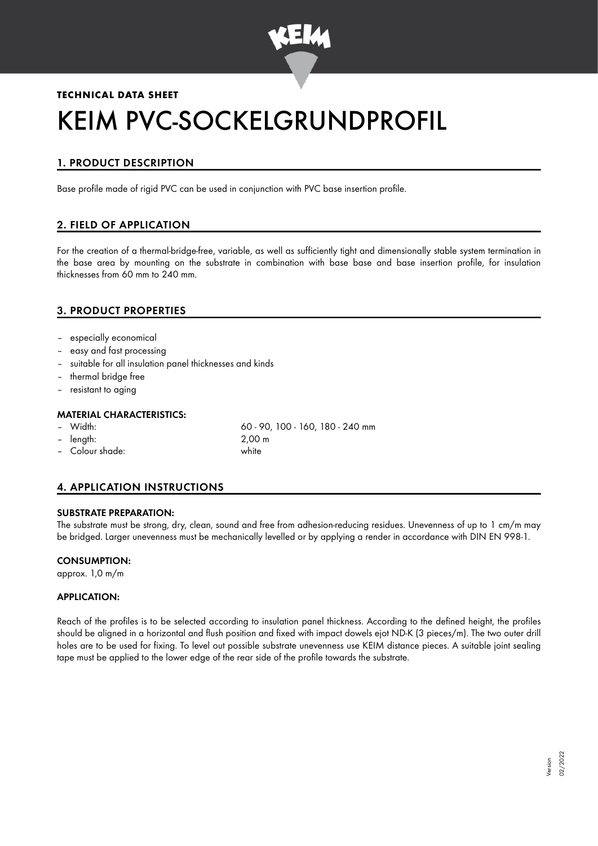

# **TECHNICAL DATA SHEET** KEIM PVC-SOCKELGRUNDPROFIL

# 1. PRODUCT DESCRIPTION

Base profile made of rigid PVC can be used in conjunction with PVC base insertion profile.

# 2. FIELD OF APPLICATION

For the creation of a thermal-bridge-free, variable, as well as sufficiently tight and dimensionally stable system termination in the base area by mounting on the substrate in combination with base base and base insertion profile, for insulation thicknesses from 60 mm to 240 mm.

## 3. PRODUCT PROPERTIES

- especially economical
- easy and fast processing
- suitable for all insulation panel thicknesses and kinds
- thermal bridge free
- resistant to aging

#### MATERIAL CHARACTERISTICS:

- 
- length: 2,00 m
- Colour shade: white

– Width: 60 - 90, 100 - 160, 180 - 240 mm

# 4. APPLICATION INSTRUCTIONS

#### SUBSTRATE PREPARATION:

The substrate must be strong, dry, clean, sound and free from adhesion-reducing residues. Unevenness of up to 1 cm/m may be bridged. Larger unevenness must be mechanically levelled or by applying a render in accordance with DIN EN 998-1.

#### CONSUMPTION:

approx. 1,0 m/m

#### APPLICATION:

Reach of the profiles is to be selected according to insulation panel thickness. According to the defined height, the profiles should be aligned in a horizontal and flush position and fixed with impact dowels ejot ND-K (3 pieces/m). The two outer drill holes are to be used for fixing. To level out possible substrate unevenness use KEIM distance pieces. A suitable joint sealing tape must be applied to the lower edge of the rear side of the profile towards the substrate.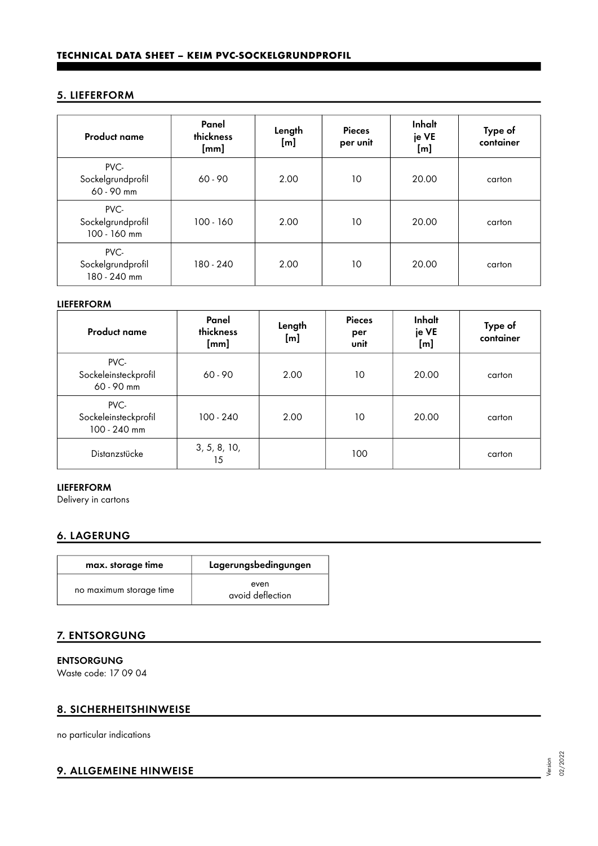### 5. LIEFERFORM

| <b>Product name</b>                       | Panel<br>thickness<br>[mm] | Length<br>[m] | <b>Pieces</b><br>per unit | Inhalt<br>je VE<br>[m] | Type of<br>container |
|-------------------------------------------|----------------------------|---------------|---------------------------|------------------------|----------------------|
| PVC-<br>Sockelgrundprofil<br>60 - 90 mm   | $60 - 90$                  | 2.00          | 10                        | 20.00                  | carton               |
| PVC-<br>Sockelgrundprofil<br>100 - 160 mm | $100 - 160$                | 2.00          | 10                        | 20.00                  | carton               |
| PVC-<br>Sockelgrundprofil<br>180 - 240 mm | 180 - 240                  | 2.00          | 10                        | 20.00                  | carton               |

#### LIEFERFORM

| <b>Product name</b>                          | Panel<br>thickness<br>[mm] | Length<br>[m] | <b>Pieces</b><br>per<br>unit | Inhalt<br>je VE<br>[m] | Type of<br>container |
|----------------------------------------------|----------------------------|---------------|------------------------------|------------------------|----------------------|
| PVC-<br>Sockeleinsteckprofil<br>60 - 90 mm   | $60 - 90$                  | 2.00          | 10                           | 20.00                  | carton               |
| PVC-<br>Sockeleinsteckprofil<br>100 - 240 mm | $100 - 240$                | 2.00          | 10                           | 20.00                  | carton               |
| Distanzstücke                                | 3, 5, 8, 10,<br>15         |               | 100                          |                        | carton               |

#### LIEFERFORM

Delivery in cartons

## 6. LAGERUNG

| max. storage time       | Lagerungsbedingungen     |  |  |
|-------------------------|--------------------------|--|--|
| no maximum storage time | even<br>avoid deflection |  |  |

#### 7. ENTSORGUNG

ENTSORGUNG

Waste code: 17 09 04

#### 8. SICHERHEITSHINWEISE

no particular indications

## 9. ALLGEMEINE HINWEISE

Version 02/2022